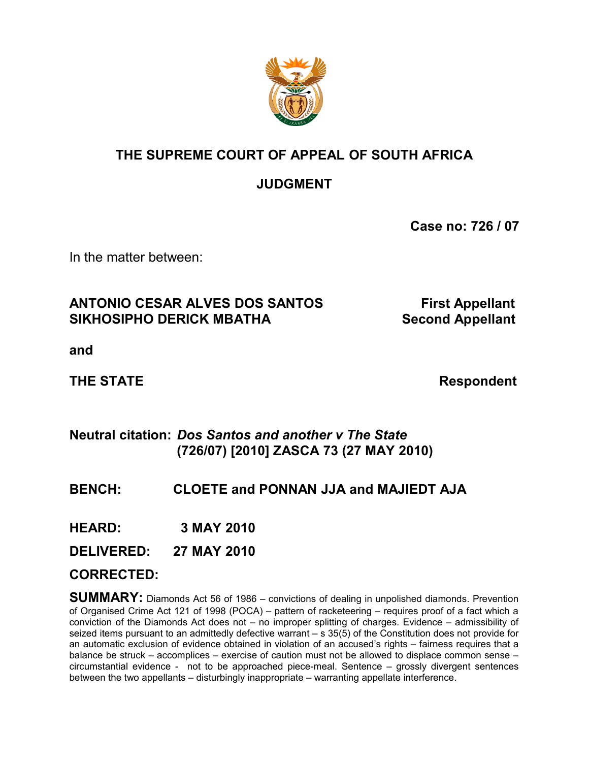

# **THE SUPREME COURT OF APPEAL OF SOUTH AFRICA**

# **JUDGMENT**

**Case no: 726 / 07**

In the matter between:

## **ANTONIO CESAR ALVES DOS SANTOS First Appellant** SIKHOSIPHO DERICK MBATHA Second Appellant

**and**

**THE STATE Respondent** 

## **Neutral citation:** *Dos Santos and another v The State*  **(726/07) [2010] ZASCA 73 (27 MAY 2010)**

## **BENCH: CLOETE and PONNAN JJA and MAJIEDT AJA**

**HEARD: 3 MAY 2010**

**DELIVERED: 27 MAY 2010**

### **CORRECTED:**

**SUMMARY:** Diamonds Act 56 of 1986 – convictions of dealing in unpolished diamonds. Prevention of Organised Crime Act 121 of 1998 (POCA) – pattern of racketeering – requires proof of a fact which a conviction of the Diamonds Act does not – no improper splitting of charges. Evidence – admissibility of seized items pursuant to an admittedly defective warrant – s 35(5) of the Constitution does not provide for an automatic exclusion of evidence obtained in violation of an accused's rights – fairness requires that a balance be struck – accomplices – exercise of caution must not be allowed to displace common sense – circumstantial evidence - not to be approached piece-meal. Sentence – grossly divergent sentences between the two appellants – disturbingly inappropriate – warranting appellate interference.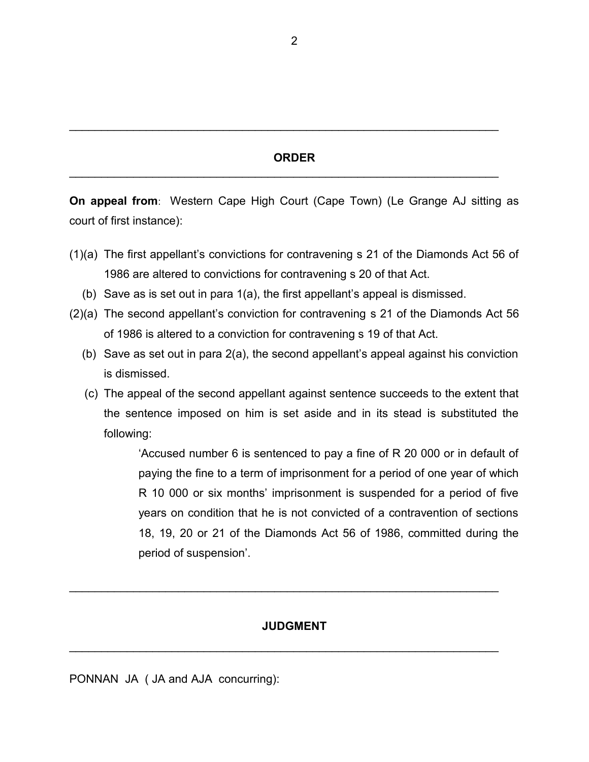### **ORDER**

 $\mathcal{L}_\mathcal{L} = \mathcal{L}_\mathcal{L} = \mathcal{L}_\mathcal{L} = \mathcal{L}_\mathcal{L} = \mathcal{L}_\mathcal{L} = \mathcal{L}_\mathcal{L} = \mathcal{L}_\mathcal{L} = \mathcal{L}_\mathcal{L} = \mathcal{L}_\mathcal{L} = \mathcal{L}_\mathcal{L} = \mathcal{L}_\mathcal{L} = \mathcal{L}_\mathcal{L} = \mathcal{L}_\mathcal{L} = \mathcal{L}_\mathcal{L} = \mathcal{L}_\mathcal{L} = \mathcal{L}_\mathcal{L} = \mathcal{L}_\mathcal{L}$ 

 $\mathcal{L}_\mathcal{L} = \mathcal{L}_\mathcal{L} = \mathcal{L}_\mathcal{L} = \mathcal{L}_\mathcal{L} = \mathcal{L}_\mathcal{L} = \mathcal{L}_\mathcal{L} = \mathcal{L}_\mathcal{L} = \mathcal{L}_\mathcal{L} = \mathcal{L}_\mathcal{L} = \mathcal{L}_\mathcal{L} = \mathcal{L}_\mathcal{L} = \mathcal{L}_\mathcal{L} = \mathcal{L}_\mathcal{L} = \mathcal{L}_\mathcal{L} = \mathcal{L}_\mathcal{L} = \mathcal{L}_\mathcal{L} = \mathcal{L}_\mathcal{L}$ 

**On appeal from**: Western Cape High Court (Cape Town) (Le Grange AJ sitting as court of first instance):

- (1)(a) The first appellant's convictions for contravening s 21 of the Diamonds Act 56 of 1986 are altered to convictions for contravening s 20 of that Act.
	- (b) Save as is set out in para 1(a), the first appellant's appeal is dismissed.
- (2)(a) The second appellant's conviction for contravening s 21 of the Diamonds Act 56 of 1986 is altered to a conviction for contravening s 19 of that Act.
	- (b) Save as set out in para 2(a), the second appellant's appeal against his conviction is dismissed.
	- (c) The appeal of the second appellant against sentence succeeds to the extent that the sentence imposed on him is set aside and in its stead is substituted the following:

'Accused number 6 is sentenced to pay a fine of R 20 000 or in default of paying the fine to a term of imprisonment for a period of one year of which R 10 000 or six months' imprisonment is suspended for a period of five years on condition that he is not convicted of a contravention of sections 18, 19, 20 or 21 of the Diamonds Act 56 of 1986, committed during the period of suspension'.

### **JUDGMENT**

 $\mathcal{L}_\mathcal{L} = \mathcal{L}_\mathcal{L} + \mathcal{L}_\mathcal{L} + \mathcal{L}_\mathcal{L} + \mathcal{L}_\mathcal{L} + \mathcal{L}_\mathcal{L} + \mathcal{L}_\mathcal{L} + \mathcal{L}_\mathcal{L} + \mathcal{L}_\mathcal{L} + \mathcal{L}_\mathcal{L} + \mathcal{L}_\mathcal{L} + \mathcal{L}_\mathcal{L} + \mathcal{L}_\mathcal{L} + \mathcal{L}_\mathcal{L} + \mathcal{L}_\mathcal{L} + \mathcal{L}_\mathcal{L} + \mathcal{L}_\mathcal{L}$ 

 $\mathcal{L}_\mathcal{L} = \mathcal{L}_\mathcal{L} = \mathcal{L}_\mathcal{L} = \mathcal{L}_\mathcal{L} = \mathcal{L}_\mathcal{L} = \mathcal{L}_\mathcal{L} = \mathcal{L}_\mathcal{L} = \mathcal{L}_\mathcal{L} = \mathcal{L}_\mathcal{L} = \mathcal{L}_\mathcal{L} = \mathcal{L}_\mathcal{L} = \mathcal{L}_\mathcal{L} = \mathcal{L}_\mathcal{L} = \mathcal{L}_\mathcal{L} = \mathcal{L}_\mathcal{L} = \mathcal{L}_\mathcal{L} = \mathcal{L}_\mathcal{L}$ 

PONNAN JA ( JA and AJA concurring):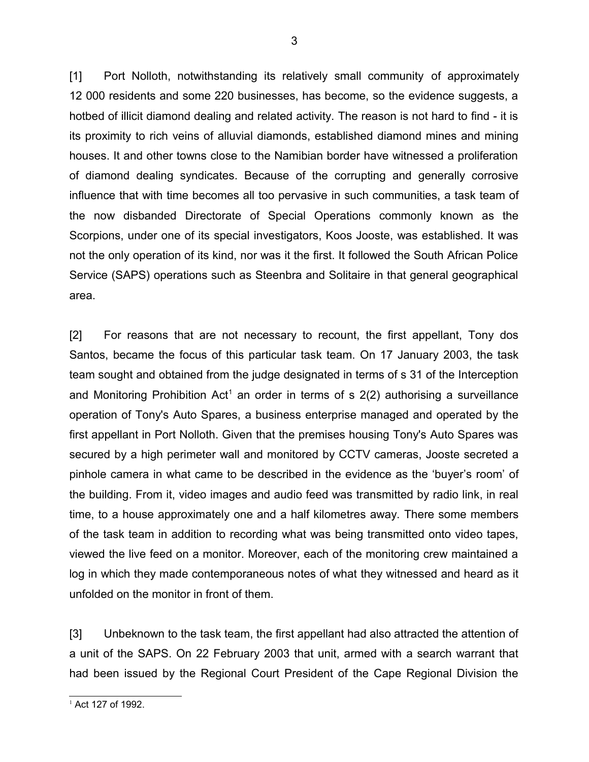[1] Port Nolloth, notwithstanding its relatively small community of approximately 12 000 residents and some 220 businesses, has become, so the evidence suggests, a hotbed of illicit diamond dealing and related activity. The reason is not hard to find - it is its proximity to rich veins of alluvial diamonds, established diamond mines and mining houses. It and other towns close to the Namibian border have witnessed a proliferation of diamond dealing syndicates. Because of the corrupting and generally corrosive influence that with time becomes all too pervasive in such communities, a task team of the now disbanded Directorate of Special Operations commonly known as the Scorpions, under one of its special investigators, Koos Jooste, was established. It was not the only operation of its kind, nor was it the first. It followed the South African Police Service (SAPS) operations such as Steenbra and Solitaire in that general geographical area.

[2] For reasons that are not necessary to recount, the first appellant, Tony dos Santos, became the focus of this particular task team. On 17 January 2003, the task team sought and obtained from the judge designated in terms of s 31 of the Interception and Monitoring Prohibition Act<sup>[1](#page-2-0)</sup> an order in terms of s  $2(2)$  authorising a surveillance operation of Tony's Auto Spares, a business enterprise managed and operated by the first appellant in Port Nolloth. Given that the premises housing Tony's Auto Spares was secured by a high perimeter wall and monitored by CCTV cameras, Jooste secreted a pinhole camera in what came to be described in the evidence as the 'buyer's room' of the building. From it, video images and audio feed was transmitted by radio link, in real time, to a house approximately one and a half kilometres away. There some members of the task team in addition to recording what was being transmitted onto video tapes, viewed the live feed on a monitor. Moreover, each of the monitoring crew maintained a log in which they made contemporaneous notes of what they witnessed and heard as it unfolded on the monitor in front of them.

[3] Unbeknown to the task team, the first appellant had also attracted the attention of a unit of the SAPS. On 22 February 2003 that unit, armed with a search warrant that had been issued by the Regional Court President of the Cape Regional Division the

<span id="page-2-0"></span> $1$  Act 127 of 1992.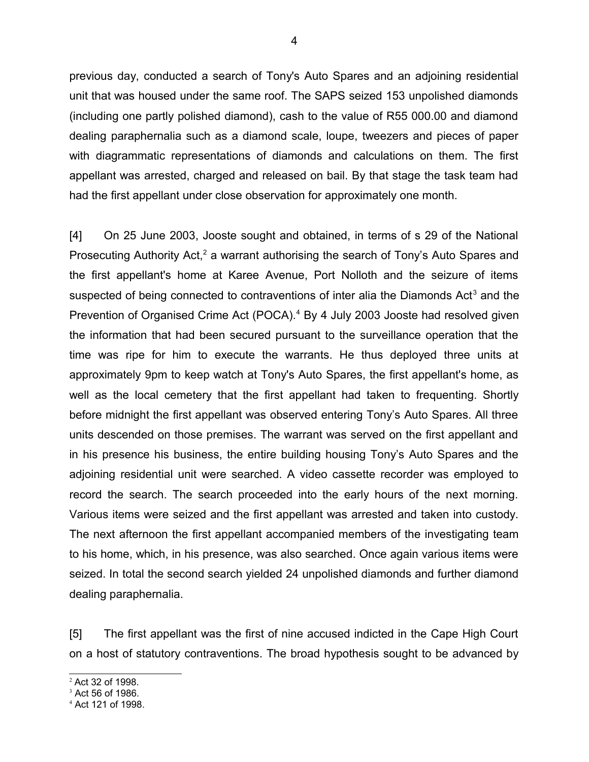previous day, conducted a search of Tony's Auto Spares and an adjoining residential unit that was housed under the same roof. The SAPS seized 153 unpolished diamonds (including one partly polished diamond), cash to the value of R55 000.00 and diamond dealing paraphernalia such as a diamond scale, loupe, tweezers and pieces of paper with diagrammatic representations of diamonds and calculations on them. The first appellant was arrested, charged and released on bail. By that stage the task team had had the first appellant under close observation for approximately one month.

[4] On 25 June 2003, Jooste sought and obtained, in terms of s 29 of the National Prosecuting Authority Act,<sup>[2](#page-3-0)</sup> a warrant authorising the search of Tony's Auto Spares and the first appellant's home at Karee Avenue, Port Nolloth and the seizure of items suspected of being connected to contraventions of inter alia the Diamonds Act<sup>[3](#page-3-1)</sup> and the Prevention of Organised Crime Act (POCA).<sup>[4](#page-3-2)</sup> By 4 July 2003 Jooste had resolved given the information that had been secured pursuant to the surveillance operation that the time was ripe for him to execute the warrants. He thus deployed three units at approximately 9pm to keep watch at Tony's Auto Spares, the first appellant's home, as well as the local cemetery that the first appellant had taken to frequenting. Shortly before midnight the first appellant was observed entering Tony's Auto Spares. All three units descended on those premises. The warrant was served on the first appellant and in his presence his business, the entire building housing Tony's Auto Spares and the adjoining residential unit were searched. A video cassette recorder was employed to record the search. The search proceeded into the early hours of the next morning. Various items were seized and the first appellant was arrested and taken into custody. The next afternoon the first appellant accompanied members of the investigating team to his home, which, in his presence, was also searched. Once again various items were seized. In total the second search yielded 24 unpolished diamonds and further diamond dealing paraphernalia.

[5] The first appellant was the first of nine accused indicted in the Cape High Court on a host of statutory contraventions. The broad hypothesis sought to be advanced by

<span id="page-3-0"></span><sup>2</sup> Act 32 of 1998.

<span id="page-3-1"></span> $3$  Act 56 of 1986.

<span id="page-3-2"></span><sup>4</sup> Act 121 of 1998.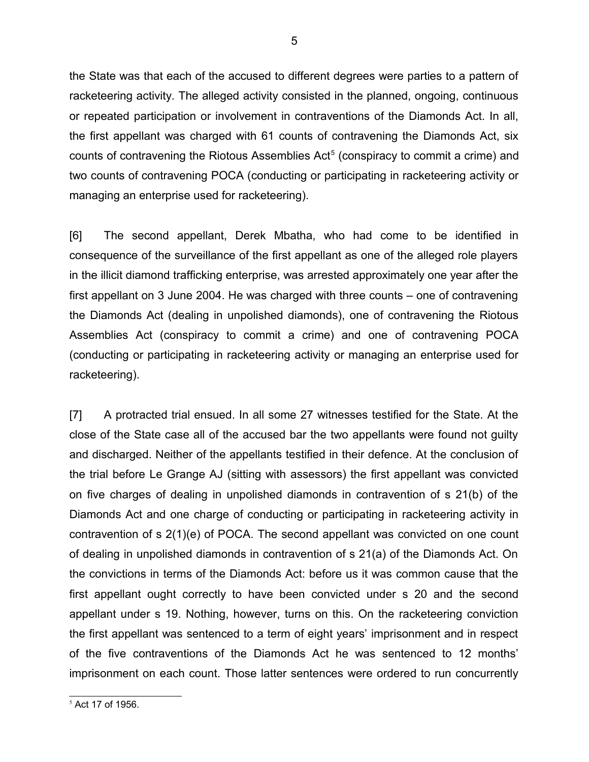the State was that each of the accused to different degrees were parties to a pattern of racketeering activity. The alleged activity consisted in the planned, ongoing, continuous or repeated participation or involvement in contraventions of the Diamonds Act. In all, the first appellant was charged with 61 counts of contravening the Diamonds Act, six counts of contravening the Riotous Assemblies Act<sup>[5](#page-4-0)</sup> (conspiracy to commit a crime) and two counts of contravening POCA (conducting or participating in racketeering activity or managing an enterprise used for racketeering).

[6] The second appellant, Derek Mbatha, who had come to be identified in consequence of the surveillance of the first appellant as one of the alleged role players in the illicit diamond trafficking enterprise, was arrested approximately one year after the first appellant on 3 June 2004. He was charged with three counts – one of contravening the Diamonds Act (dealing in unpolished diamonds), one of contravening the Riotous Assemblies Act (conspiracy to commit a crime) and one of contravening POCA (conducting or participating in racketeering activity or managing an enterprise used for racketeering).

[7] A protracted trial ensued. In all some 27 witnesses testified for the State. At the close of the State case all of the accused bar the two appellants were found not guilty and discharged. Neither of the appellants testified in their defence. At the conclusion of the trial before Le Grange AJ (sitting with assessors) the first appellant was convicted on five charges of dealing in unpolished diamonds in contravention of s 21(b) of the Diamonds Act and one charge of conducting or participating in racketeering activity in contravention of s 2(1)(e) of POCA. The second appellant was convicted on one count of dealing in unpolished diamonds in contravention of s 21(a) of the Diamonds Act. On the convictions in terms of the Diamonds Act: before us it was common cause that the first appellant ought correctly to have been convicted under s 20 and the second appellant under s 19. Nothing, however, turns on this. On the racketeering conviction the first appellant was sentenced to a term of eight years' imprisonment and in respect of the five contraventions of the Diamonds Act he was sentenced to 12 months' imprisonment on each count. Those latter sentences were ordered to run concurrently

<span id="page-4-0"></span> $<sup>5</sup>$  Act 17 of 1956.</sup>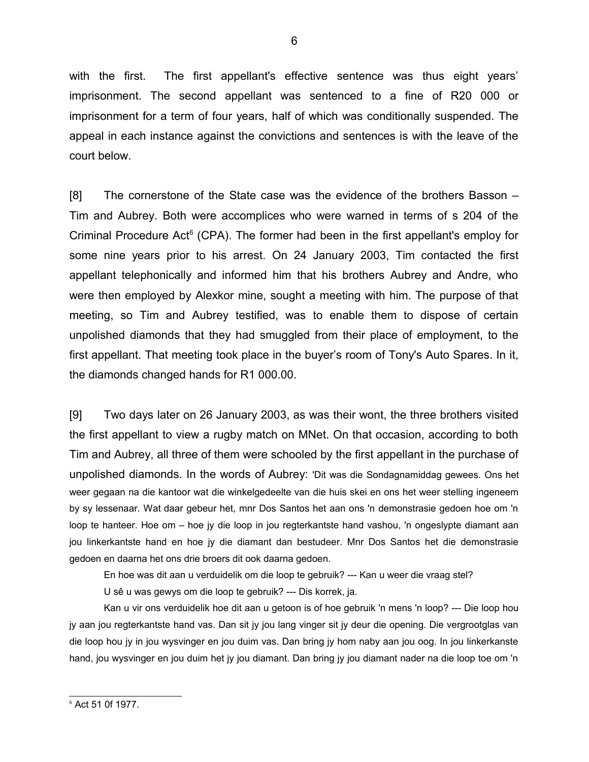with the first. The first appellant's effective sentence was thus eight years' imprisonment. The second appellant was sentenced to a fine of R20 000 or imprisonment for a term of four years, half of which was conditionally suspended. The appeal in each instance against the convictions and sentences is with the leave of the court below.

[8] The cornerstone of the State case was the evidence of the brothers Basson – Tim and Aubrey. Both were accomplices who were warned in terms of s 204 of the Criminal Procedure Act<sup>[6](#page-5-0)</sup> (CPA). The former had been in the first appellant's employ for some nine years prior to his arrest. On 24 January 2003, Tim contacted the first appellant telephonically and informed him that his brothers Aubrey and Andre, who were then employed by Alexkor mine, sought a meeting with him. The purpose of that meeting, so Tim and Aubrey testified, was to enable them to dispose of certain unpolished diamonds that they had smuggled from their place of employment, to the first appellant. That meeting took place in the buyer's room of Tony's Auto Spares. In it, the diamonds changed hands for R1 000.00.

[9] Two days later on 26 January 2003, as was their wont, the three brothers visited the first appellant to view a rugby match on MNet. On that occasion, according to both Tim and Aubrey, all three of them were schooled by the first appellant in the purchase of unpolished diamonds. In the words of Aubrey: 'Dit was die Sondagnamiddag gewees. Ons het weer gegaan na die kantoor wat die winkelgedeelte van die huis skei en ons het weer stelling ingeneem by sy lessenaar. Wat daar gebeur het, mnr Dos Santos het aan ons 'n demonstrasie gedoen hoe om 'n loop te hanteer. Hoe om – hoe jy die loop in jou regterkantste hand vashou, 'n ongeslypte diamant aan jou linkerkantste hand en hoe jy die diamant dan bestudeer. Mnr Dos Santos het die demonstrasie gedoen en daarna het ons drie broers dit ook daarna gedoen.

En hoe was dit aan u verduidelik om die loop te gebruik? --- Kan u weer die vraag stel?

U sê u was gewys om die loop te gebruik? --- Dis korrek, ja.

Kan u vir ons verduidelik hoe dit aan u getoon is of hoe gebruik 'n mens 'n loop? --- Die loop hou jy aan jou regterkantste hand vas. Dan sit jy jou lang vinger sit jy deur die opening. Die vergrootglas van die loop hou jy in jou wysvinger en jou duim vas. Dan bring jy hom naby aan jou oog. In jou linkerkanste hand, jou wysvinger en jou duim het jy jou diamant. Dan bring jy jou diamant nader na die loop toe om 'n

<span id="page-5-0"></span><sup>6</sup> Act 51 0f 1977.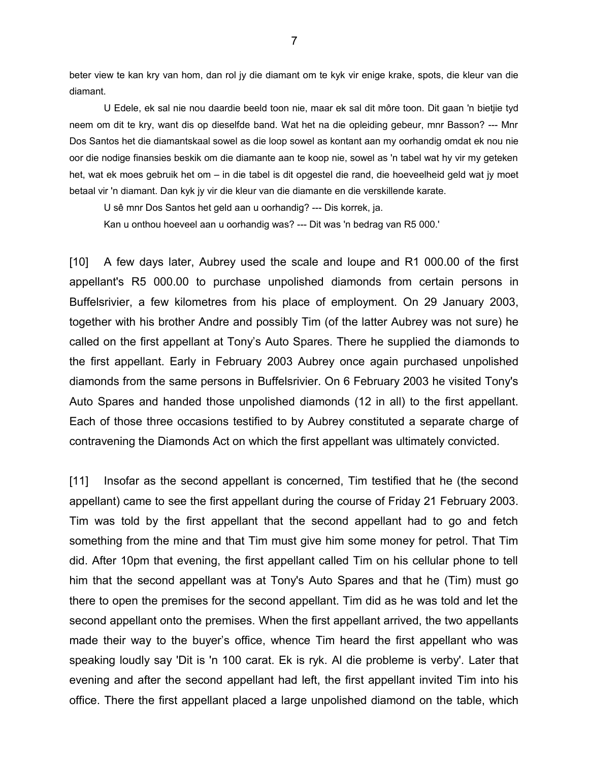beter view te kan kry van hom, dan rol jy die diamant om te kyk vir enige krake, spots, die kleur van die diamant.

U Edele, ek sal nie nou daardie beeld toon nie, maar ek sal dit môre toon. Dit gaan 'n bietjie tyd neem om dit te kry, want dis op dieselfde band. Wat het na die opleiding gebeur, mnr Basson? --- Mnr Dos Santos het die diamantskaal sowel as die loop sowel as kontant aan my oorhandig omdat ek nou nie oor die nodige finansies beskik om die diamante aan te koop nie, sowel as 'n tabel wat hy vir my geteken het, wat ek moes gebruik het om – in die tabel is dit opgestel die rand, die hoeveelheid geld wat jy moet betaal vir 'n diamant. Dan kyk jy vir die kleur van die diamante en die verskillende karate.

U sê mnr Dos Santos het geld aan u oorhandig? --- Dis korrek, ja.

Kan u onthou hoeveel aan u oorhandig was? --- Dit was 'n bedrag van R5 000.'

[10] A few days later, Aubrey used the scale and loupe and R1 000.00 of the first appellant's R5 000.00 to purchase unpolished diamonds from certain persons in Buffelsrivier, a few kilometres from his place of employment. On 29 January 2003, together with his brother Andre and possibly Tim (of the latter Aubrey was not sure) he called on the first appellant at Tony's Auto Spares. There he supplied the diamonds to the first appellant. Early in February 2003 Aubrey once again purchased unpolished diamonds from the same persons in Buffelsrivier. On 6 February 2003 he visited Tony's Auto Spares and handed those unpolished diamonds (12 in all) to the first appellant. Each of those three occasions testified to by Aubrey constituted a separate charge of contravening the Diamonds Act on which the first appellant was ultimately convicted.

[11] Insofar as the second appellant is concerned, Tim testified that he (the second appellant) came to see the first appellant during the course of Friday 21 February 2003. Tim was told by the first appellant that the second appellant had to go and fetch something from the mine and that Tim must give him some money for petrol. That Tim did. After 10pm that evening, the first appellant called Tim on his cellular phone to tell him that the second appellant was at Tony's Auto Spares and that he (Tim) must go there to open the premises for the second appellant. Tim did as he was told and let the second appellant onto the premises. When the first appellant arrived, the two appellants made their way to the buyer's office, whence Tim heard the first appellant who was speaking loudly say 'Dit is 'n 100 carat. Ek is ryk. Al die probleme is verby'. Later that evening and after the second appellant had left, the first appellant invited Tim into his office. There the first appellant placed a large unpolished diamond on the table, which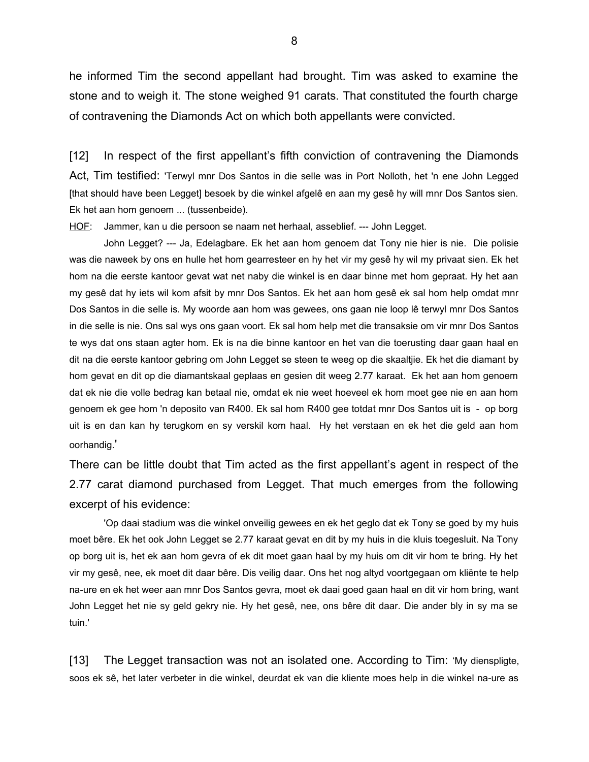he informed Tim the second appellant had brought. Tim was asked to examine the stone and to weigh it. The stone weighed 91 carats. That constituted the fourth charge of contravening the Diamonds Act on which both appellants were convicted.

[12] In respect of the first appellant's fifth conviction of contravening the Diamonds Act, Tim testified: 'Terwyl mnr Dos Santos in die selle was in Port Nolloth, het 'n ene John Legged [that should have been Legget] besoek by die winkel afgelê en aan my gesê hy will mnr Dos Santos sien. Ek het aan hom genoem ... (tussenbeide).

HOF: Jammer, kan u die persoon se naam net herhaal, asseblief. --- John Legget.

John Legget? --- Ja, Edelagbare. Ek het aan hom genoem dat Tony nie hier is nie. Die polisie was die naweek by ons en hulle het hom gearresteer en hy het vir my gesê hy wil my privaat sien. Ek het hom na die eerste kantoor gevat wat net naby die winkel is en daar binne met hom gepraat. Hy het aan my gesê dat hy iets wil kom afsit by mnr Dos Santos. Ek het aan hom gesê ek sal hom help omdat mnr Dos Santos in die selle is. My woorde aan hom was gewees, ons gaan nie loop lê terwyl mnr Dos Santos in die selle is nie. Ons sal wys ons gaan voort. Ek sal hom help met die transaksie om vir mnr Dos Santos te wys dat ons staan agter hom. Ek is na die binne kantoor en het van die toerusting daar gaan haal en dit na die eerste kantoor gebring om John Legget se steen te weeg op die skaaltjie. Ek het die diamant by hom gevat en dit op die diamantskaal geplaas en gesien dit weeg 2.77 karaat. Ek het aan hom genoem dat ek nie die volle bedrag kan betaal nie, omdat ek nie weet hoeveel ek hom moet gee nie en aan hom genoem ek gee hom 'n deposito van R400. Ek sal hom R400 gee totdat mnr Dos Santos uit is - op borg uit is en dan kan hy terugkom en sy verskil kom haal. Hy het verstaan en ek het die geld aan hom oorhandig.'

There can be little doubt that Tim acted as the first appellant's agent in respect of the 2.77 carat diamond purchased from Legget. That much emerges from the following excerpt of his evidence:

'Op daai stadium was die winkel onveilig gewees en ek het geglo dat ek Tony se goed by my huis moet bêre. Ek het ook John Legget se 2.77 karaat gevat en dit by my huis in die kluis toegesluit. Na Tony op borg uit is, het ek aan hom gevra of ek dit moet gaan haal by my huis om dit vir hom te bring. Hy het vir my gesê, nee, ek moet dit daar bêre. Dis veilig daar. Ons het nog altyd voortgegaan om kliënte te help na-ure en ek het weer aan mnr Dos Santos gevra, moet ek daai goed gaan haal en dit vir hom bring, want John Legget het nie sy geld gekry nie. Hy het gesê, nee, ons bêre dit daar. Die ander bly in sy ma se tuin.'

[13] The Legget transaction was not an isolated one. According to Tim: 'My dienspligte, soos ek sê, het later verbeter in die winkel, deurdat ek van die kliente moes help in die winkel na-ure as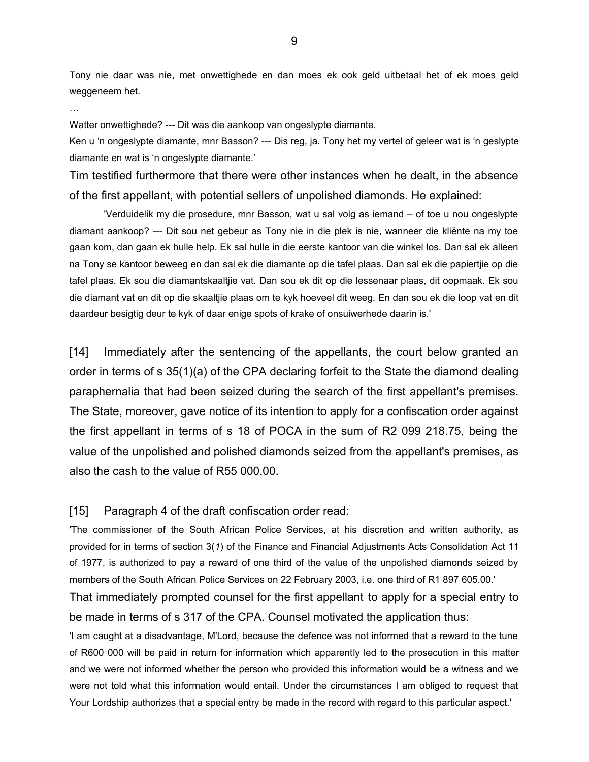Tony nie daar was nie, met onwettighede en dan moes ek ook geld uitbetaal het of ek moes geld weggeneem het.

…

Watter onwettighede? --- Dit was die aankoop van ongeslypte diamante.

Ken u 'n ongeslypte diamante, mnr Basson? --- Dis reg, ja. Tony het my vertel of geleer wat is 'n geslypte diamante en wat is 'n ongeslypte diamante.'

Tim testified furthermore that there were other instances when he dealt, in the absence of the first appellant, with potential sellers of unpolished diamonds. He explained:

'Verduidelik my die prosedure, mnr Basson, wat u sal volg as iemand – of toe u nou ongeslypte diamant aankoop? --- Dit sou net gebeur as Tony nie in die plek is nie, wanneer die kliënte na my toe gaan kom, dan gaan ek hulle help. Ek sal hulle in die eerste kantoor van die winkel los. Dan sal ek alleen na Tony se kantoor beweeg en dan sal ek die diamante op die tafel plaas. Dan sal ek die papiertjie op die tafel plaas. Ek sou die diamantskaaltjie vat. Dan sou ek dit op die lessenaar plaas, dit oopmaak. Ek sou die diamant vat en dit op die skaaltjie plaas om te kyk hoeveel dit weeg. En dan sou ek die loop vat en dit daardeur besigtig deur te kyk of daar enige spots of krake of onsuiwerhede daarin is.'

[14] Immediately after the sentencing of the appellants, the court below granted an order in terms of s 35(1)(a) of the CPA declaring forfeit to the State the diamond dealing paraphernalia that had been seized during the search of the first appellant's premises. The State, moreover, gave notice of its intention to apply for a confiscation order against the first appellant in terms of s 18 of POCA in the sum of R2 099 218.75, being the value of the unpolished and polished diamonds seized from the appellant's premises, as also the cash to the value of R55 000.00.

#### [15] Paragraph 4 of the draft confiscation order read:

'The commissioner of the South African Police Services, at his discretion and written authority, as provided for in terms of section 3(*1*) of the Finance and Financial Adjustments Acts Consolidation Act 11 of 1977, is authorized to pay a reward of one third of the value of the unpolished diamonds seized by members of the South African Police Services on 22 February 2003, i.e. one third of R1 897 605.00.'

That immediately prompted counsel for the first appellant to apply for a special entry to be made in terms of s 317 of the CPA. Counsel motivated the application thus:

'I am caught at a disadvantage, M'Lord, because the defence was not informed that a reward to the tune of R600 000 will be paid in return for information which apparently led to the prosecution in this matter and we were not informed whether the person who provided this information would be a witness and we were not told what this information would entail. Under the circumstances I am obliged to request that Your Lordship authorizes that a special entry be made in the record with regard to this particular aspect.'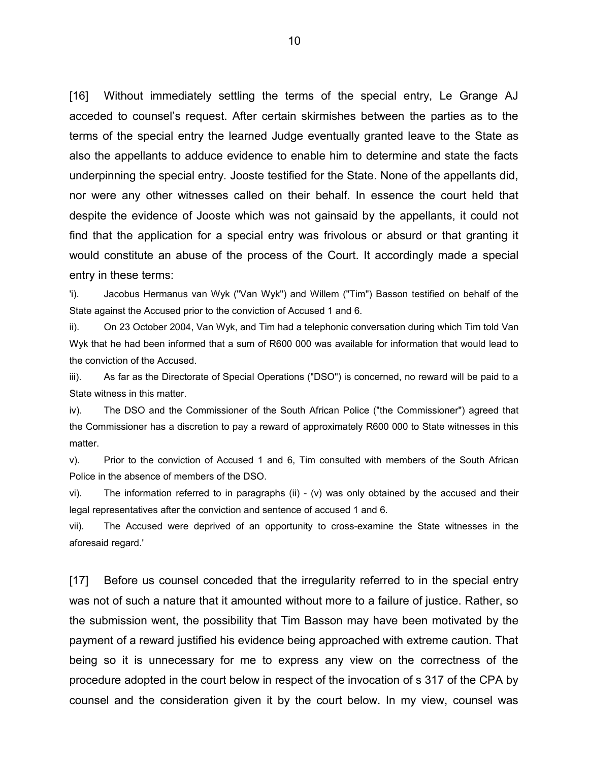[16] Without immediately settling the terms of the special entry, Le Grange AJ acceded to counsel's request. After certain skirmishes between the parties as to the terms of the special entry the learned Judge eventually granted leave to the State as also the appellants to adduce evidence to enable him to determine and state the facts underpinning the special entry. Jooste testified for the State. None of the appellants did, nor were any other witnesses called on their behalf. In essence the court held that despite the evidence of Jooste which was not gainsaid by the appellants, it could not find that the application for a special entry was frivolous or absurd or that granting it would constitute an abuse of the process of the Court. It accordingly made a special entry in these terms:

'i). Jacobus Hermanus van Wyk ("Van Wyk") and Willem ("Tim") Basson testified on behalf of the State against the Accused prior to the conviction of Accused 1 and 6.

ii). On 23 October 2004, Van Wyk, and Tim had a telephonic conversation during which Tim told Van Wyk that he had been informed that a sum of R600 000 was available for information that would lead to the conviction of the Accused.

iii). As far as the Directorate of Special Operations ("DSO") is concerned, no reward will be paid to a State witness in this matter.

iv). The DSO and the Commissioner of the South African Police ("the Commissioner") agreed that the Commissioner has a discretion to pay a reward of approximately R600 000 to State witnesses in this matter.

v). Prior to the conviction of Accused 1 and 6, Tim consulted with members of the South African Police in the absence of members of the DSO.

vi). The information referred to in paragraphs (ii) - (v) was only obtained by the accused and their legal representatives after the conviction and sentence of accused 1 and 6.

vii). The Accused were deprived of an opportunity to cross-examine the State witnesses in the aforesaid regard.'

[17] Before us counsel conceded that the irregularity referred to in the special entry was not of such a nature that it amounted without more to a failure of justice. Rather, so the submission went, the possibility that Tim Basson may have been motivated by the payment of a reward justified his evidence being approached with extreme caution. That being so it is unnecessary for me to express any view on the correctness of the procedure adopted in the court below in respect of the invocation of s 317 of the CPA by counsel and the consideration given it by the court below. In my view, counsel was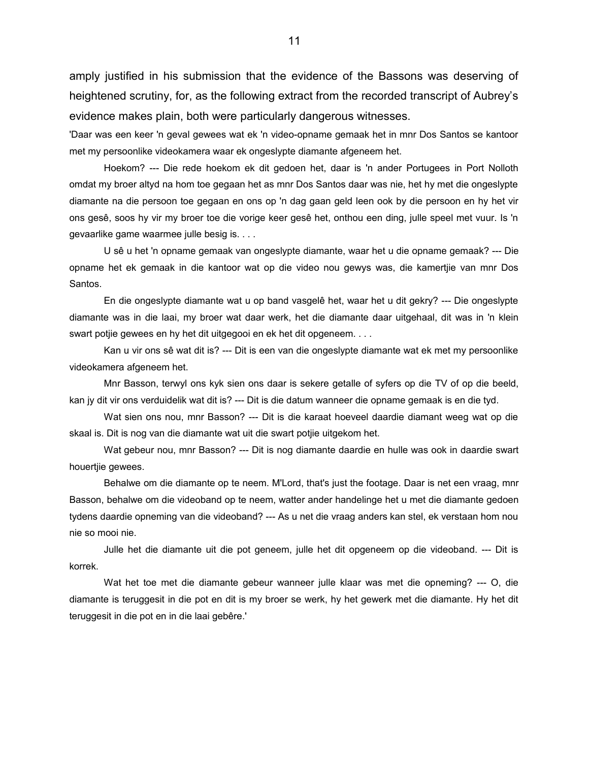amply justified in his submission that the evidence of the Bassons was deserving of heightened scrutiny, for, as the following extract from the recorded transcript of Aubrey's evidence makes plain, both were particularly dangerous witnesses.

'Daar was een keer 'n geval gewees wat ek 'n video-opname gemaak het in mnr Dos Santos se kantoor met my persoonlike videokamera waar ek ongeslypte diamante afgeneem het.

Hoekom? --- Die rede hoekom ek dit gedoen het, daar is 'n ander Portugees in Port Nolloth omdat my broer altyd na hom toe gegaan het as mnr Dos Santos daar was nie, het hy met die ongeslypte diamante na die persoon toe gegaan en ons op 'n dag gaan geld leen ook by die persoon en hy het vir ons gesê, soos hy vir my broer toe die vorige keer gesê het, onthou een ding, julle speel met vuur. Is 'n gevaarlike game waarmee julle besig is. . . .

U sê u het 'n opname gemaak van ongeslypte diamante, waar het u die opname gemaak? --- Die opname het ek gemaak in die kantoor wat op die video nou gewys was, die kamertjie van mnr Dos Santos.

En die ongeslypte diamante wat u op band vasgelê het, waar het u dit gekry? --- Die ongeslypte diamante was in die laai, my broer wat daar werk, het die diamante daar uitgehaal, dit was in 'n klein swart potjie gewees en hy het dit uitgegooi en ek het dit opgeneem. . . .

Kan u vir ons sê wat dit is? --- Dit is een van die ongeslypte diamante wat ek met my persoonlike videokamera afgeneem het.

Mnr Basson, terwyl ons kyk sien ons daar is sekere getalle of syfers op die TV of op die beeld, kan jy dit vir ons verduidelik wat dit is? --- Dit is die datum wanneer die opname gemaak is en die tyd.

Wat sien ons nou, mnr Basson? --- Dit is die karaat hoeveel daardie diamant weeg wat op die skaal is. Dit is nog van die diamante wat uit die swart potjie uitgekom het.

Wat gebeur nou, mnr Basson? --- Dit is nog diamante daardie en hulle was ook in daardie swart houertjie gewees.

Behalwe om die diamante op te neem. M'Lord, that's just the footage. Daar is net een vraag, mnr Basson, behalwe om die videoband op te neem, watter ander handelinge het u met die diamante gedoen tydens daardie opneming van die videoband? --- As u net die vraag anders kan stel, ek verstaan hom nou nie so mooi nie.

Julle het die diamante uit die pot geneem, julle het dit opgeneem op die videoband. --- Dit is korrek.

Wat het toe met die diamante gebeur wanneer julle klaar was met die opneming? --- O, die diamante is teruggesit in die pot en dit is my broer se werk, hy het gewerk met die diamante. Hy het dit teruggesit in die pot en in die laai gebêre.'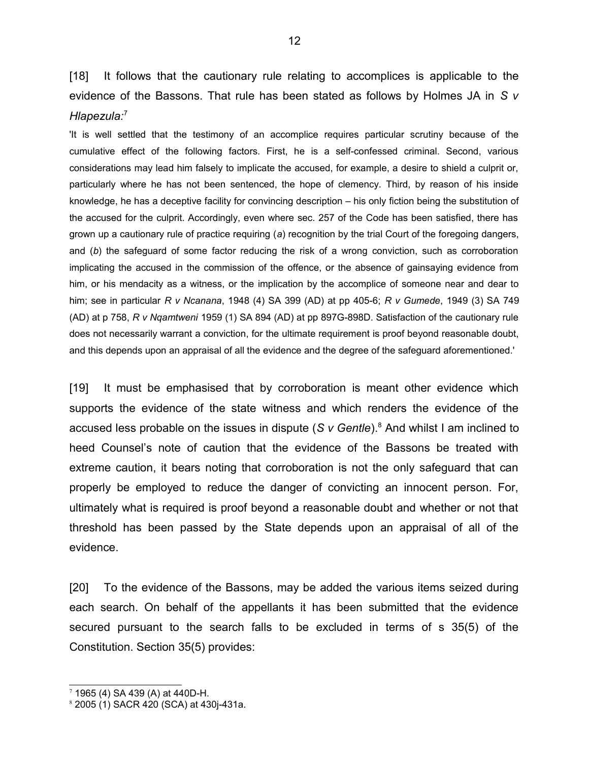[18] It follows that the cautionary rule relating to accomplices is applicable to the evidence of the Bassons. That rule has been stated as follows by Holmes JA in *S v Hlapezula:*[7](#page-11-0)

'It is well settled that the testimony of an accomplice requires particular scrutiny because of the cumulative effect of the following factors. First, he is a self-confessed criminal. Second, various considerations may lead him falsely to implicate the accused, for example, a desire to shield a culprit or, particularly where he has not been sentenced, the hope of clemency. Third, by reason of his inside knowledge, he has a deceptive facility for convincing description – his only fiction being the substitution of the accused for the culprit. Accordingly, even where sec. 257 of the Code has been satisfied, there has grown up a cautionary rule of practice requiring (*a*) recognition by the trial Court of the foregoing dangers, and (*b*) the safeguard of some factor reducing the risk of a wrong conviction, such as corroboration implicating the accused in the commission of the offence, or the absence of gainsaying evidence from him, or his mendacity as a witness, or the implication by the accomplice of someone near and dear to him; see in particular *R v Ncanana*, 1948 (4) SA 399 (AD) at pp 405-6; *R v Gumede*, 1949 (3) SA 749 (AD) at p 758, *R v Nqamtweni* 1959 (1) SA 894 (AD) at pp 897G-898D. Satisfaction of the cautionary rule does not necessarily warrant a conviction, for the ultimate requirement is proof beyond reasonable doubt, and this depends upon an appraisal of all the evidence and the degree of the safeguard aforementioned.'

[19] It must be emphasised that by corroboration is meant other evidence which supports the evidence of the state witness and which renders the evidence of the accused less probable on the issues in dispute (S v Gentle).<sup>[8](#page-11-1)</sup> And whilst I am inclined to heed Counsel's note of caution that the evidence of the Bassons be treated with extreme caution, it bears noting that corroboration is not the only safeguard that can properly be employed to reduce the danger of convicting an innocent person. For, ultimately what is required is proof beyond a reasonable doubt and whether or not that threshold has been passed by the State depends upon an appraisal of all of the evidence.

[20] To the evidence of the Bassons, may be added the various items seized during each search. On behalf of the appellants it has been submitted that the evidence secured pursuant to the search falls to be excluded in terms of s 35(5) of the Constitution. Section 35(5) provides:

<span id="page-11-0"></span> $7$  1965 (4) SA 439 (A) at 440D-H.

<span id="page-11-1"></span><sup>8</sup> 2005 (1) SACR 420 (SCA) at 430j-431a.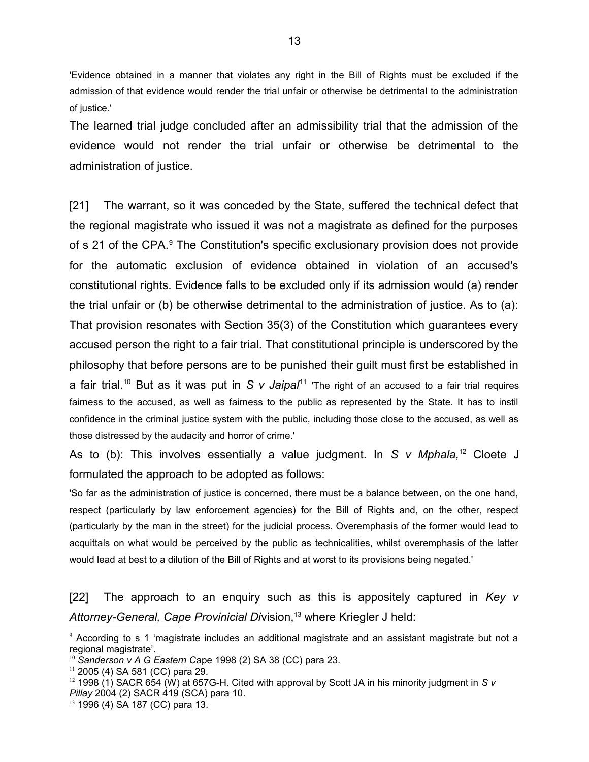'Evidence obtained in a manner that violates any right in the Bill of Rights must be excluded if the admission of that evidence would render the trial unfair or otherwise be detrimental to the administration of justice.'

The learned trial judge concluded after an admissibility trial that the admission of the evidence would not render the trial unfair or otherwise be detrimental to the administration of justice.

[21] The warrant, so it was conceded by the State, suffered the technical defect that the regional magistrate who issued it was not a magistrate as defined for the purposes of s 21 of the CPA.<sup>[9](#page-12-0)</sup> The Constitution's specific exclusionary provision does not provide for the automatic exclusion of evidence obtained in violation of an accused's constitutional rights. Evidence falls to be excluded only if its admission would (a) render the trial unfair or (b) be otherwise detrimental to the administration of justice. As to (a): That provision resonates with Section 35(3) of the Constitution which guarantees every accused person the right to a fair trial. That constitutional principle is underscored by the philosophy that before persons are to be punished their guilt must first be established in a fair trial.<sup>[10](#page-12-1)</sup> But as it was put in *S v Jaipal*<sup>[11](#page-12-2)</sup> 'The right of an accused to a fair trial requires fairness to the accused, as well as fairness to the public as represented by the State. It has to instil confidence in the criminal justice system with the public, including those close to the accused, as well as those distressed by the audacity and horror of crime.'

As to (b): This involves essentially a value judgment. In *S v Mphala,*[12](#page-12-3) Cloete J formulated the approach to be adopted as follows:

'So far as the administration of justice is concerned, there must be a balance between, on the one hand, respect (particularly by law enforcement agencies) for the Bill of Rights and, on the other, respect (particularly by the man in the street) for the judicial process. Overemphasis of the former would lead to acquittals on what would be perceived by the public as technicalities, whilst overemphasis of the latter would lead at best to a dilution of the Bill of Rights and at worst to its provisions being negated.'

[22] The approach to an enquiry such as this is appositely captured in *Key v* Attorney-General, Cape Provinicial Division,<sup>[13](#page-12-4)</sup> where Kriegler J held:

<span id="page-12-0"></span><sup>9</sup> According to s 1 'magistrate includes an additional magistrate and an assistant magistrate but not a regional magistrate'.

<span id="page-12-1"></span><sup>10</sup> *Sanderson v A G Eastern C*ape 1998 (2) SA 38 (CC) para 23.

<span id="page-12-2"></span> $11$  2005 (4) SA 581 (CC) para 29.

<span id="page-12-3"></span><sup>&</sup>lt;sup>12</sup> 1998 (1) SACR 654 (W) at 657G-H. Cited with approval by Scott JA in his minority judgment in *S v Pillay* 2004 (2) SACR 419 (SCA) para 10.

<span id="page-12-4"></span><sup>13</sup> 1996 (4) SA 187 (CC) para 13.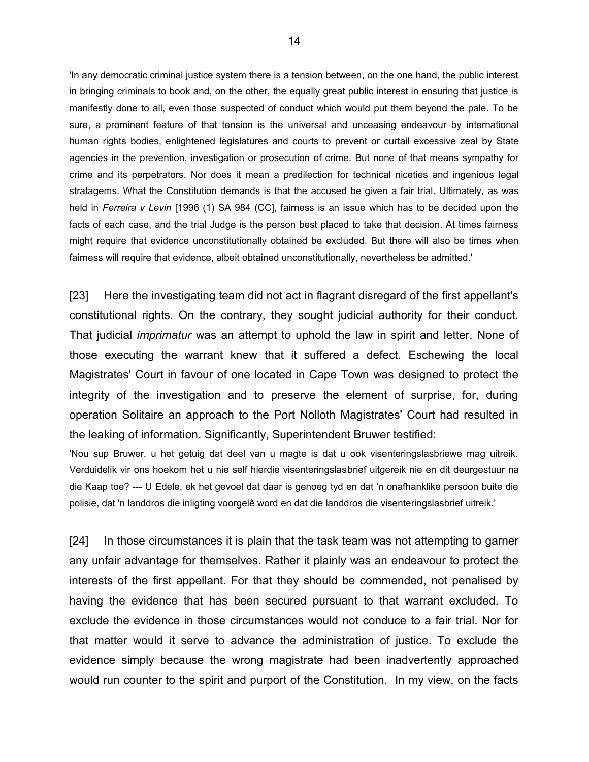'In any democratic criminal justice system there is a tension between, on the one hand, the public interest in bringing criminals to book and, on the other, the equally great public interest in ensuring that justice is manifestly done to all, even those suspected of conduct which would put them beyond the pale. To be sure, a prominent feature of that tension is the universal and unceasing endeavour by international human rights bodies, enlightened legislatures and courts to prevent or curtail excessive zeal by State agencies in the prevention, investigation or prosecution of crime. But none of that means sympathy for crime and its perpetrators. Nor does it mean a predilection for technical niceties and ingenious legal stratagems. What the Constitution demands is that the accused be given a fair trial. Ultimately, as was held in *Ferreira v Levin* [1996 (1) SA 984 (CC], fairness is an issue which has to be decided upon the facts of each case, and the trial Judge is the person best placed to take that decision. At times fairness might require that evidence unconstitutionally obtained be excluded. But there will also be times when fairness will require that evidence, albeit obtained unconstitutionally, nevertheless be admitted.'

[23] Here the investigating team did not act in flagrant disregard of the first appellant's constitutional rights. On the contrary, they sought judicial authority for their conduct. That judicial *imprimatur* was an attempt to uphold the law in spirit and letter. None of those executing the warrant knew that it suffered a defect. Eschewing the local Magistrates' Court in favour of one located in Cape Town was designed to protect the integrity of the investigation and to preserve the element of surprise, for, during operation Solitaire an approach to the Port Nolloth Magistrates' Court had resulted in the leaking of information. Significantly, Superintendent Bruwer testified:

'Nou sup Bruwer, u het getuig dat deel van u magte is dat u ook visenteringslasbriewe mag uitreik. Verduidelik vir ons hoekom het u nie self hierdie visenteringslasbrief uitgereik nie en dit deurgestuur na die Kaap toe? --- U Edele, ek het gevoel dat daar is genoeg tyd en dat 'n onafhanklike persoon buite die polisie, dat 'n landdros die inligting voorgelê word en dat die landdros die visenteringslasbrief uitreik.'

[24] In those circumstances it is plain that the task team was not attempting to garner any unfair advantage for themselves. Rather it plainly was an endeavour to protect the interests of the first appellant. For that they should be commended, not penalised by having the evidence that has been secured pursuant to that warrant excluded. To exclude the evidence in those circumstances would not conduce to a fair trial. Nor for that matter would it serve to advance the administration of justice. To exclude the evidence simply because the wrong magistrate had been inadvertently approached would run counter to the spirit and purport of the Constitution. In my view, on the facts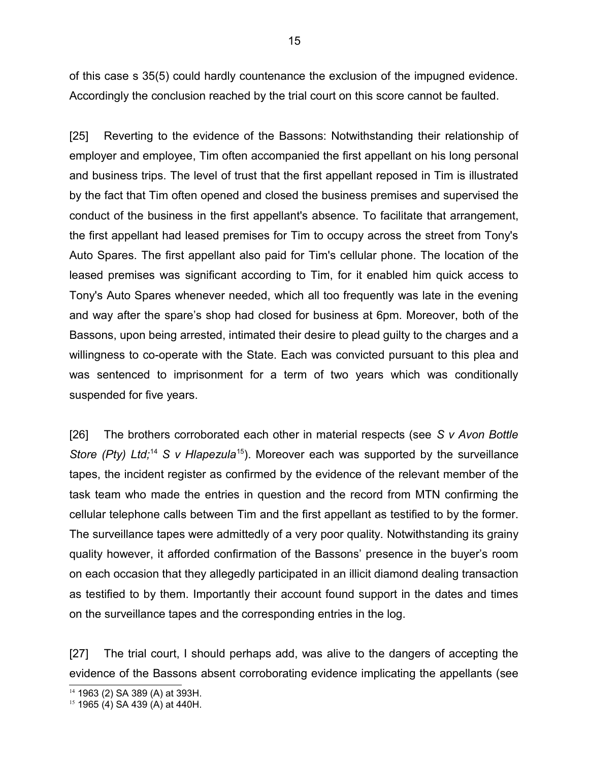of this case s 35(5) could hardly countenance the exclusion of the impugned evidence. Accordingly the conclusion reached by the trial court on this score cannot be faulted.

[25] Reverting to the evidence of the Bassons: Notwithstanding their relationship of employer and employee, Tim often accompanied the first appellant on his long personal and business trips. The level of trust that the first appellant reposed in Tim is illustrated by the fact that Tim often opened and closed the business premises and supervised the conduct of the business in the first appellant's absence. To facilitate that arrangement, the first appellant had leased premises for Tim to occupy across the street from Tony's Auto Spares. The first appellant also paid for Tim's cellular phone. The location of the leased premises was significant according to Tim, for it enabled him quick access to Tony's Auto Spares whenever needed, which all too frequently was late in the evening and way after the spare's shop had closed for business at 6pm. Moreover, both of the Bassons, upon being arrested, intimated their desire to plead guilty to the charges and a willingness to co-operate with the State. Each was convicted pursuant to this plea and was sentenced to imprisonment for a term of two years which was conditionally suspended for five years.

[26] The brothers corroborated each other in material respects (see *S v Avon Bottle Store (Pty) Ltd*;<sup>[14](#page-14-0)</sup> *S v Hlapezula*<sup>[15](#page-14-1)</sup>). Moreover each was supported by the surveillance tapes, the incident register as confirmed by the evidence of the relevant member of the task team who made the entries in question and the record from MTN confirming the cellular telephone calls between Tim and the first appellant as testified to by the former. The surveillance tapes were admittedly of a very poor quality. Notwithstanding its grainy quality however, it afforded confirmation of the Bassons' presence in the buyer's room on each occasion that they allegedly participated in an illicit diamond dealing transaction as testified to by them. Importantly their account found support in the dates and times on the surveillance tapes and the corresponding entries in the log.

[27] The trial court, I should perhaps add, was alive to the dangers of accepting the evidence of the Bassons absent corroborating evidence implicating the appellants (see

<span id="page-14-0"></span><sup>14</sup> 1963 (2) SA 389 (A) at 393H.

<span id="page-14-1"></span><sup>15</sup> 1965 (4) SA 439 (A) at 440H.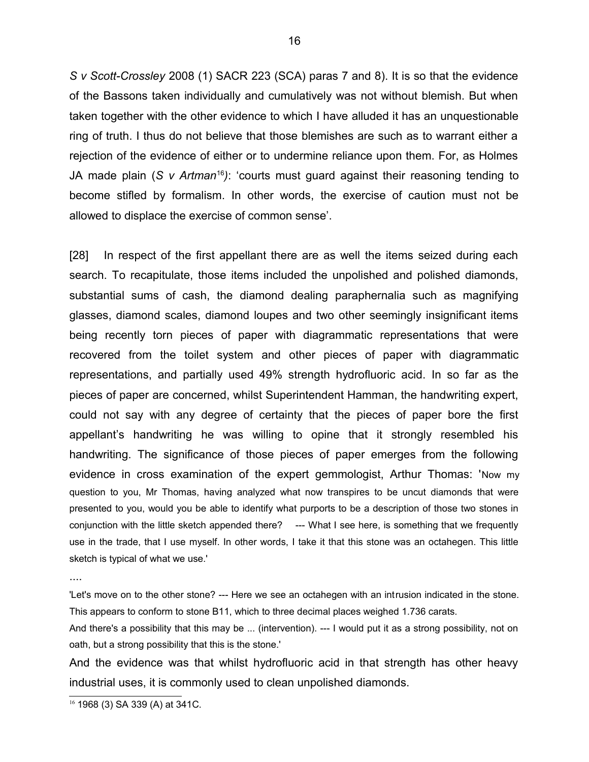*S v Scott-Crossley* 2008 (1) SACR 223 (SCA) paras 7 and 8). It is so that the evidence of the Bassons taken individually and cumulatively was not without blemish. But when taken together with the other evidence to which I have alluded it has an unquestionable ring of truth. I thus do not believe that those blemishes are such as to warrant either a rejection of the evidence of either or to undermine reliance upon them. For, as Holmes JA made plain (*S v Artman*<sup>[16](#page-15-0)</sup>): 'courts must guard against their reasoning tending to become stifled by formalism. In other words, the exercise of caution must not be allowed to displace the exercise of common sense'.

[28] In respect of the first appellant there are as well the items seized during each search. To recapitulate, those items included the unpolished and polished diamonds, substantial sums of cash, the diamond dealing paraphernalia such as magnifying glasses, diamond scales, diamond loupes and two other seemingly insignificant items being recently torn pieces of paper with diagrammatic representations that were recovered from the toilet system and other pieces of paper with diagrammatic representations, and partially used 49% strength hydrofluoric acid. In so far as the pieces of paper are concerned, whilst Superintendent Hamman, the handwriting expert, could not say with any degree of certainty that the pieces of paper bore the first appellant's handwriting he was willing to opine that it strongly resembled his handwriting. The significance of those pieces of paper emerges from the following evidence in cross examination of the expert gemmologist, Arthur Thomas: 'Now my question to you, Mr Thomas, having analyzed what now transpires to be uncut diamonds that were presented to you, would you be able to identify what purports to be a description of those two stones in conjunction with the little sketch appended there? --- What I see here, is something that we frequently use in the trade, that I use myself. In other words, I take it that this stone was an octahegen. This little sketch is typical of what we use.'

....

'Let's move on to the other stone? --- Here we see an octahegen with an intrusion indicated in the stone. This appears to conform to stone B11, which to three decimal places weighed 1.736 carats.

And there's a possibility that this may be ... (intervention). --- I would put it as a strong possibility, not on oath, but a strong possibility that this is the stone.'

And the evidence was that whilst hydrofluoric acid in that strength has other heavy industrial uses, it is commonly used to clean unpolished diamonds.

<span id="page-15-0"></span><sup>16</sup> 1968 (3) SA 339 (A) at 341C.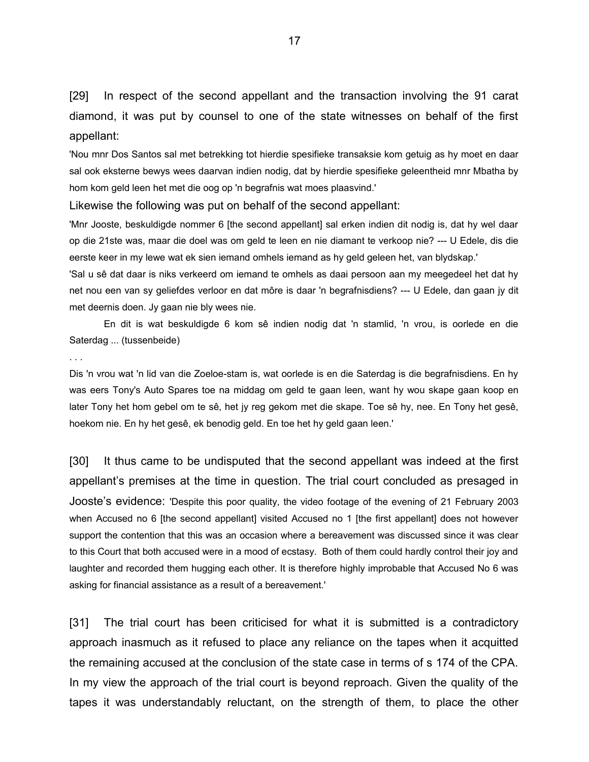[29] In respect of the second appellant and the transaction involving the 91 carat diamond, it was put by counsel to one of the state witnesses on behalf of the first appellant:

'Nou mnr Dos Santos sal met betrekking tot hierdie spesifieke transaksie kom getuig as hy moet en daar sal ook eksterne bewys wees daarvan indien nodig, dat by hierdie spesifieke geleentheid mnr Mbatha by hom kom geld leen het met die oog op 'n begrafnis wat moes plaasvind.'

#### Likewise the following was put on behalf of the second appellant:

'Mnr Jooste, beskuldigde nommer 6 [the second appellant] sal erken indien dit nodig is, dat hy wel daar op die 21ste was, maar die doel was om geld te leen en nie diamant te verkoop nie? --- U Edele, dis die eerste keer in my lewe wat ek sien iemand omhels iemand as hy geld geleen het, van blydskap.'

'Sal u sê dat daar is niks verkeerd om iemand te omhels as daai persoon aan my meegedeel het dat hy net nou een van sy geliefdes verloor en dat môre is daar 'n begrafnisdiens? --- U Edele, dan gaan jy dit met deernis doen. Jy gaan nie bly wees nie.

En dit is wat beskuldigde 6 kom sê indien nodig dat 'n stamlid, 'n vrou, is oorlede en die Saterdag ... (tussenbeide)

#### . . .

Dis 'n vrou wat 'n lid van die Zoeloe-stam is, wat oorlede is en die Saterdag is die begrafnisdiens. En hy was eers Tony's Auto Spares toe na middag om geld te gaan leen, want hy wou skape gaan koop en later Tony het hom gebel om te sê, het jy reg gekom met die skape. Toe sê hy, nee. En Tony het gesê, hoekom nie. En hy het gesê, ek benodig geld. En toe het hy geld gaan leen.'

[30] It thus came to be undisputed that the second appellant was indeed at the first appellant's premises at the time in question. The trial court concluded as presaged in Jooste's evidence: 'Despite this poor quality, the video footage of the evening of 21 February 2003 when Accused no 6 [the second appellant] visited Accused no 1 [the first appellant] does not however support the contention that this was an occasion where a bereavement was discussed since it was clear to this Court that both accused were in a mood of ecstasy. Both of them could hardly control their joy and laughter and recorded them hugging each other. It is therefore highly improbable that Accused No 6 was asking for financial assistance as a result of a bereavement.'

[31] The trial court has been criticised for what it is submitted is a contradictory approach inasmuch as it refused to place any reliance on the tapes when it acquitted the remaining accused at the conclusion of the state case in terms of s 174 of the CPA. In my view the approach of the trial court is beyond reproach. Given the quality of the tapes it was understandably reluctant, on the strength of them, to place the other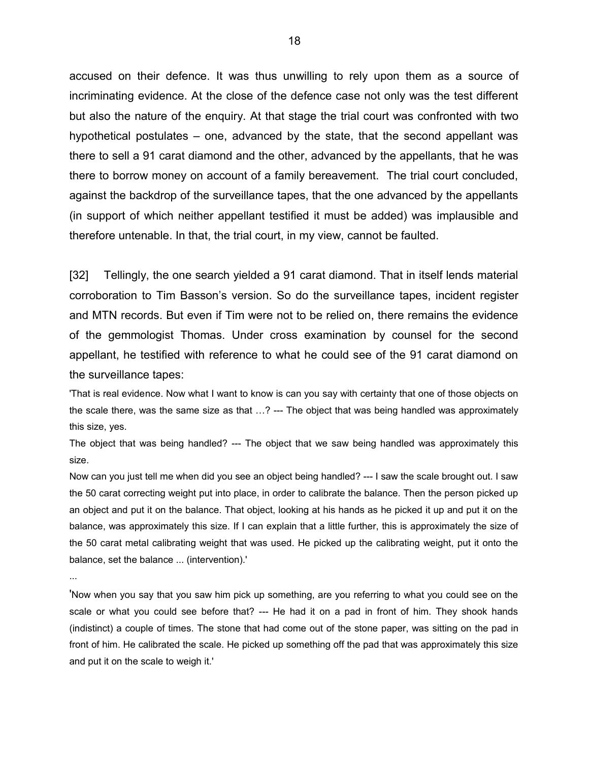accused on their defence. It was thus unwilling to rely upon them as a source of incriminating evidence. At the close of the defence case not only was the test different but also the nature of the enquiry. At that stage the trial court was confronted with two hypothetical postulates – one, advanced by the state, that the second appellant was there to sell a 91 carat diamond and the other, advanced by the appellants, that he was there to borrow money on account of a family bereavement. The trial court concluded, against the backdrop of the surveillance tapes, that the one advanced by the appellants (in support of which neither appellant testified it must be added) was implausible and therefore untenable. In that, the trial court, in my view, cannot be faulted.

[32] Tellingly, the one search yielded a 91 carat diamond. That in itself lends material corroboration to Tim Basson's version. So do the surveillance tapes, incident register and MTN records. But even if Tim were not to be relied on, there remains the evidence of the gemmologist Thomas. Under cross examination by counsel for the second appellant, he testified with reference to what he could see of the 91 carat diamond on the surveillance tapes:

'That is real evidence. Now what I want to know is can you say with certainty that one of those objects on the scale there, was the same size as that ...? --- The object that was being handled was approximately this size, yes.

The object that was being handled? --- The object that we saw being handled was approximately this size.

Now can you just tell me when did you see an object being handled? --- I saw the scale brought out. I saw the 50 carat correcting weight put into place, in order to calibrate the balance. Then the person picked up an object and put it on the balance. That object, looking at his hands as he picked it up and put it on the balance, was approximately this size. If I can explain that a little further, this is approximately the size of the 50 carat metal calibrating weight that was used. He picked up the calibrating weight, put it onto the balance, set the balance ... (intervention).'

...

'Now when you say that you saw him pick up something, are you referring to what you could see on the scale or what you could see before that? --- He had it on a pad in front of him. They shook hands (indistinct) a couple of times. The stone that had come out of the stone paper, was sitting on the pad in front of him. He calibrated the scale. He picked up something off the pad that was approximately this size and put it on the scale to weigh it.'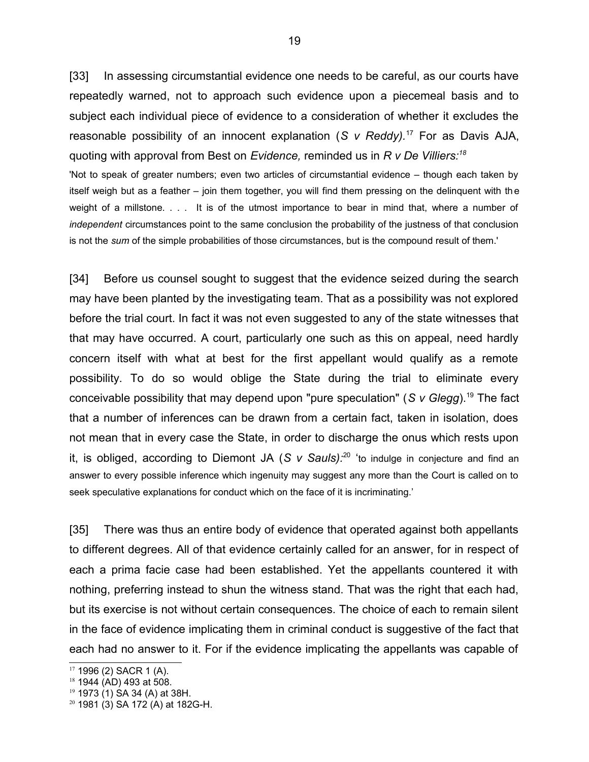[33] In assessing circumstantial evidence one needs to be careful, as our courts have repeatedly warned, not to approach such evidence upon a piecemeal basis and to subject each individual piece of evidence to a consideration of whether it excludes the reasonable possibility of an innocent explanation (*S v Reddy).*[17](#page-18-0) For as Davis AJA, quoting with approval from Best on *Evidence,* reminded us in *R v De Villiers:[18](#page-18-1)*

'Not to speak of greater numbers; even two articles of circumstantial evidence – though each taken by itself weigh but as a feather – join them together, you will find them pressing on the delinquent with the weight of a millstone. . . . It is of the utmost importance to bear in mind that, where a number of *independent* circumstances point to the same conclusion the probability of the justness of that conclusion is not the *sum* of the simple probabilities of those circumstances, but is the compound result of them.'

[34] Before us counsel sought to suggest that the evidence seized during the search may have been planted by the investigating team. That as a possibility was not explored before the trial court. In fact it was not even suggested to any of the state witnesses that that may have occurred. A court, particularly one such as this on appeal, need hardly concern itself with what at best for the first appellant would qualify as a remote possibility. To do so would oblige the State during the trial to eliminate every conceivable possibility that may depend upon "pure speculation" (*S v Glegg*).[19](#page-18-2) The fact that a number of inferences can be drawn from a certain fact, taken in isolation, does not mean that in every case the State, in order to discharge the onus which rests upon it, is obliged, according to Diemont JA (*S v Sauls):*[20](#page-18-3) 'to indulge in conjecture and find an answer to every possible inference which ingenuity may suggest any more than the Court is called on to seek speculative explanations for conduct which on the face of it is incriminating.'

[35] There was thus an entire body of evidence that operated against both appellants to different degrees. All of that evidence certainly called for an answer, for in respect of each a prima facie case had been established. Yet the appellants countered it with nothing, preferring instead to shun the witness stand. That was the right that each had, but its exercise is not without certain consequences. The choice of each to remain silent in the face of evidence implicating them in criminal conduct is suggestive of the fact that each had no answer to it. For if the evidence implicating the appellants was capable of

<span id="page-18-0"></span> $17$  1996 (2) SACR 1 (A).

<span id="page-18-1"></span><sup>18</sup> 1944 (AD) 493 at 508.

<span id="page-18-2"></span><sup>19</sup> 1973 (1) SA 34 (A) at 38H.

<span id="page-18-3"></span><sup>20</sup> 1981 (3) SA 172 (A) at 182G-H.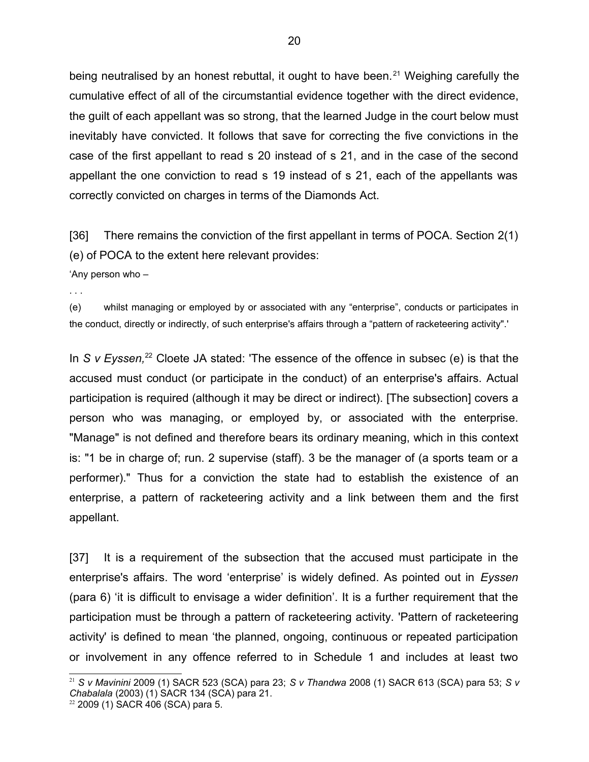being neutralised by an honest rebuttal, it ought to have been.<sup>[21](#page-19-0)</sup> Weighing carefully the cumulative effect of all of the circumstantial evidence together with the direct evidence, the guilt of each appellant was so strong, that the learned Judge in the court below must inevitably have convicted. It follows that save for correcting the five convictions in the case of the first appellant to read s 20 instead of s 21, and in the case of the second appellant the one conviction to read s 19 instead of s 21, each of the appellants was correctly convicted on charges in terms of the Diamonds Act.

[36] There remains the conviction of the first appellant in terms of POCA. Section 2(1) (e) of POCA to the extent here relevant provides:

'Any person who –

. . .

(e) whilst managing or employed by or associated with any "enterprise", conducts or participates in the conduct, directly or indirectly, of such enterprise's affairs through a "pattern of racketeering activity".'

In *S v Eyssen*<sup>[22](#page-19-1)</sup> Cloete JA stated: 'The essence of the offence in subsec (e) is that the accused must conduct (or participate in the conduct) of an enterprise's affairs. Actual participation is required (although it may be direct or indirect). [The subsection] covers a person who was managing, or employed by, or associated with the enterprise. "Manage" is not defined and therefore bears its ordinary meaning, which in this context is: "1 be in charge of; run. 2 supervise (staff). 3 be the manager of (a sports team or a performer)." Thus for a conviction the state had to establish the existence of an enterprise, a pattern of racketeering activity and a link between them and the first appellant.

[37] It is a requirement of the subsection that the accused must participate in the enterprise's affairs. The word 'enterprise' is widely defined. As pointed out in *Eyssen* (para 6) 'it is difficult to envisage a wider definition'. It is a further requirement that the participation must be through a pattern of racketeering activity. 'Pattern of racketeering activity' is defined to mean 'the planned, ongoing, continuous or repeated participation or involvement in any offence referred to in Schedule 1 and includes at least two

<span id="page-19-0"></span><sup>21</sup> *S v Mavinini* 2009 (1) SACR 523 (SCA) para 23; *S v Thandwa* 2008 (1) SACR 613 (SCA) para 53; *S v Chabalala* (2003) (1) SACR 134 (SCA) para 21.

<span id="page-19-1"></span><sup>22</sup> 2009 (1) SACR 406 (SCA) para 5.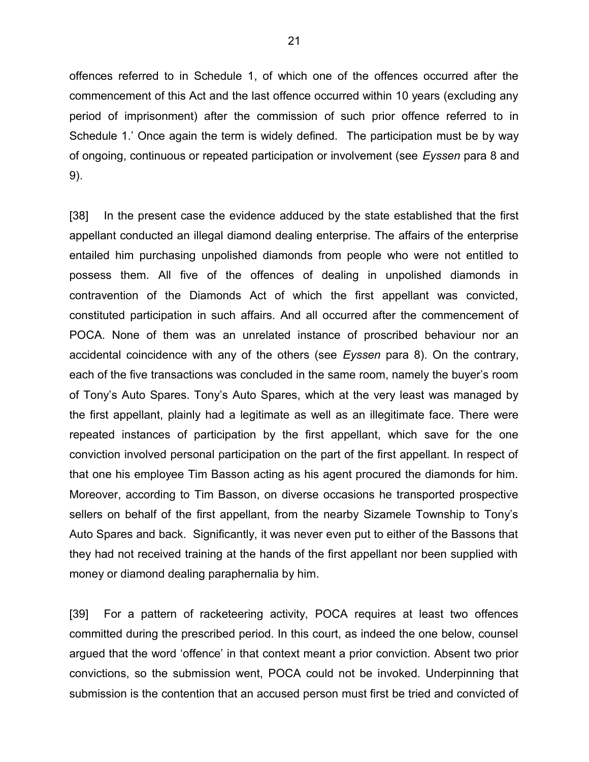offences referred to in Schedule 1, of which one of the offences occurred after the commencement of this Act and the last offence occurred within 10 years (excluding any period of imprisonment) after the commission of such prior offence referred to in Schedule 1.' Once again the term is widely defined. The participation must be by way of ongoing, continuous or repeated participation or involvement (see *Eyssen* para 8 and 9).

[38] In the present case the evidence adduced by the state established that the first appellant conducted an illegal diamond dealing enterprise. The affairs of the enterprise entailed him purchasing unpolished diamonds from people who were not entitled to possess them. All five of the offences of dealing in unpolished diamonds in contravention of the Diamonds Act of which the first appellant was convicted, constituted participation in such affairs. And all occurred after the commencement of POCA. None of them was an unrelated instance of proscribed behaviour nor an accidental coincidence with any of the others (see *Eyssen* para 8). On the contrary, each of the five transactions was concluded in the same room, namely the buyer's room of Tony's Auto Spares. Tony's Auto Spares, which at the very least was managed by the first appellant, plainly had a legitimate as well as an illegitimate face. There were repeated instances of participation by the first appellant, which save for the one conviction involved personal participation on the part of the first appellant. In respect of that one his employee Tim Basson acting as his agent procured the diamonds for him. Moreover, according to Tim Basson, on diverse occasions he transported prospective sellers on behalf of the first appellant, from the nearby Sizamele Township to Tony's Auto Spares and back. Significantly, it was never even put to either of the Bassons that they had not received training at the hands of the first appellant nor been supplied with money or diamond dealing paraphernalia by him.

[39] For a pattern of racketeering activity, POCA requires at least two offences committed during the prescribed period. In this court, as indeed the one below, counsel argued that the word 'offence' in that context meant a prior conviction. Absent two prior convictions, so the submission went, POCA could not be invoked. Underpinning that submission is the contention that an accused person must first be tried and convicted of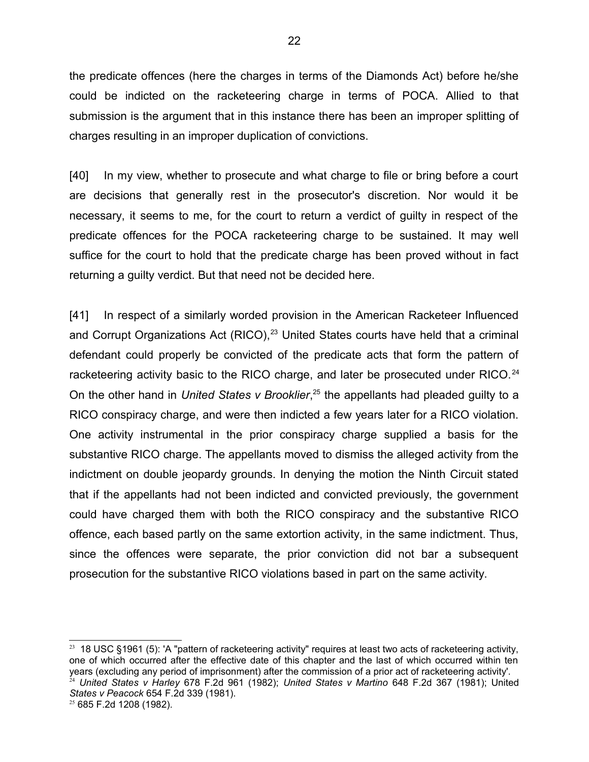the predicate offences (here the charges in terms of the Diamonds Act) before he/she could be indicted on the racketeering charge in terms of POCA. Allied to that submission is the argument that in this instance there has been an improper splitting of charges resulting in an improper duplication of convictions.

[40] In my view, whether to prosecute and what charge to file or bring before a court are decisions that generally rest in the prosecutor's discretion. Nor would it be necessary, it seems to me, for the court to return a verdict of guilty in respect of the predicate offences for the POCA racketeering charge to be sustained. It may well suffice for the court to hold that the predicate charge has been proved without in fact returning a guilty verdict. But that need not be decided here.

[41] In respect of a similarly worded provision in the American Racketeer Influenced and Corrupt Organizations Act (RICO), $23$  United States courts have held that a criminal defendant could properly be convicted of the predicate acts that form the pattern of racketeering activity basic to the RICO charge, and later be prosecuted under RICO.<sup>[24](#page-21-1)</sup> On the other hand in *United States v Brooklier*, [25](#page-21-2) the appellants had pleaded guilty to a RICO conspiracy charge, and were then indicted a few years later for a RICO violation. One activity instrumental in the prior conspiracy charge supplied a basis for the substantive RICO charge. The appellants moved to dismiss the alleged activity from the indictment on double jeopardy grounds. In denying the motion the Ninth Circuit stated that if the appellants had not been indicted and convicted previously, the government could have charged them with both the RICO conspiracy and the substantive RICO offence, each based partly on the same extortion activity, in the same indictment. Thus, since the offences were separate, the prior conviction did not bar a subsequent prosecution for the substantive RICO violations based in part on the same activity.

<span id="page-21-0"></span> $23$  18 USC §1961 (5): 'A "pattern of racketeering activity" requires at least two acts of racketeering activity, one of which occurred after the effective date of this chapter and the last of which occurred within ten years (excluding any period of imprisonment) after the commission of a prior act of racketeering activity'. <sup>24</sup> *United States v Harley* 678 F.2d 961 (1982); *United States v Martino* 648 F.2d 367 (1981); United *States v Peacock* 654 F.2d 339 (1981).

<span id="page-21-2"></span><span id="page-21-1"></span><sup>25</sup> 685 F.2d 1208 (1982).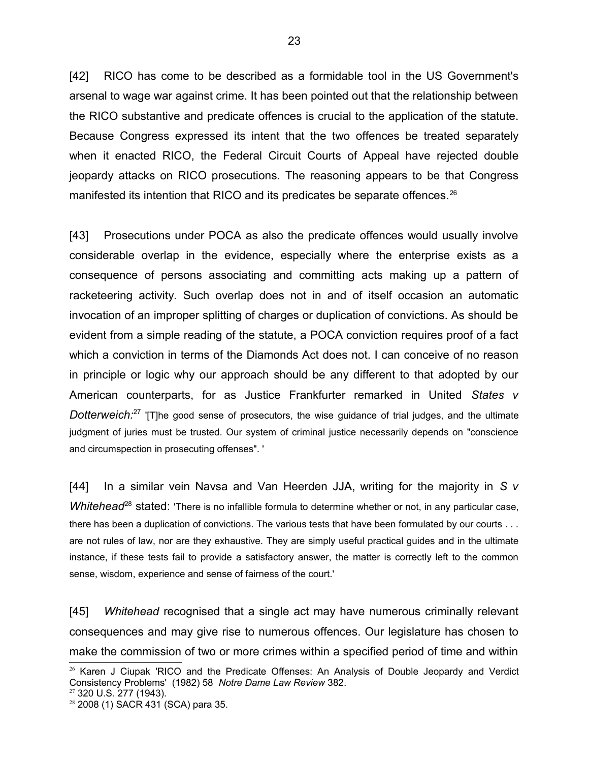[42] RICO has come to be described as a formidable tool in the US Government's arsenal to wage war against crime. It has been pointed out that the relationship between the RICO substantive and predicate offences is crucial to the application of the statute. Because Congress expressed its intent that the two offences be treated separately when it enacted RICO, the Federal Circuit Courts of Appeal have rejected double jeopardy attacks on RICO prosecutions. The reasoning appears to be that Congress manifested its intention that RICO and its predicates be separate offences.<sup>[26](#page-22-0)</sup>

[43] Prosecutions under POCA as also the predicate offences would usually involve considerable overlap in the evidence, especially where the enterprise exists as a consequence of persons associating and committing acts making up a pattern of racketeering activity. Such overlap does not in and of itself occasion an automatic invocation of an improper splitting of charges or duplication of convictions. As should be evident from a simple reading of the statute, a POCA conviction requires proof of a fact which a conviction in terms of the Diamonds Act does not. I can conceive of no reason in principle or logic why our approach should be any different to that adopted by our American counterparts, for as Justice Frankfurter remarked in United *States v Dotterweich:*<sup>[27](#page-22-1)</sup> 'ITlhe good sense of prosecutors, the wise guidance of trial judges, and the ultimate judgment of juries must be trusted. Our system of criminal justice necessarily depends on "conscience and circumspection in prosecuting offenses". '

[44] In a similar vein Navsa and Van Heerden JJA, writing for the majority in *S v Whitehead*<sup>[28](#page-22-2)</sup> stated: 'There is no infallible formula to determine whether or not, in any particular case, there has been a duplication of convictions. The various tests that have been formulated by our courts . . . are not rules of law, nor are they exhaustive. They are simply useful practical guides and in the ultimate instance, if these tests fail to provide a satisfactory answer, the matter is correctly left to the common sense, wisdom, experience and sense of fairness of the court.'

[45] *Whitehead* recognised that a single act may have numerous criminally relevant consequences and may give rise to numerous offences. Our legislature has chosen to make the commission of two or more crimes within a specified period of time and within

<span id="page-22-0"></span><sup>&</sup>lt;sup>26</sup> Karen J Ciupak 'RICO and the Predicate Offenses: An Analysis of Double Jeopardy and Verdict Consistency Problems' (1982) 58 *Notre Dame Law Review* 382.

<span id="page-22-1"></span><sup>27</sup> 320 U.S. 277 (1943).

<span id="page-22-2"></span><sup>28</sup> 2008 (1) SACR 431 (SCA) para 35.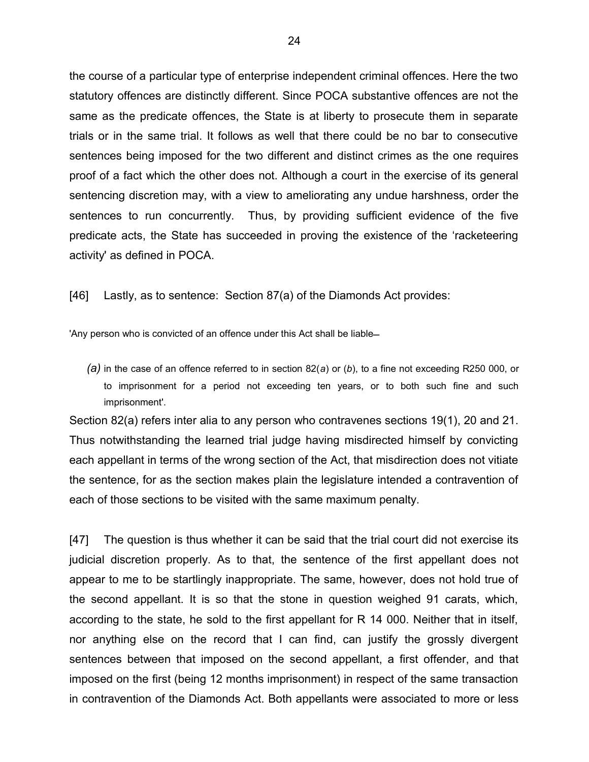the course of a particular type of enterprise independent criminal offences. Here the two statutory offences are distinctly different. Since POCA substantive offences are not the same as the predicate offences, the State is at liberty to prosecute them in separate trials or in the same trial. It follows as well that there could be no bar to consecutive sentences being imposed for the two different and distinct crimes as the one requires proof of a fact which the other does not. Although a court in the exercise of its general sentencing discretion may, with a view to ameliorating any undue harshness, order the sentences to run concurrently. Thus, by providing sufficient evidence of the five predicate acts, the State has succeeded in proving the existence of the 'racketeering activity' as defined in POCA.

[46] Lastly, as to sentence: Section 87(a) of the Diamonds Act provides:

'Any person who is convicted of an offence under this Act shall be liable

*(a)* in the case of an offence referred to in section 82(*a*) or (*b*), to a fine not exceeding R250 000, or to imprisonment for a period not exceeding ten years, or to both such fine and such imprisonment'.

Section 82(a) refers inter alia to any person who contravenes sections 19(1), 20 and 21. Thus notwithstanding the learned trial judge having misdirected himself by convicting each appellant in terms of the wrong section of the Act, that misdirection does not vitiate the sentence, for as the section makes plain the legislature intended a contravention of each of those sections to be visited with the same maximum penalty.

[47] The question is thus whether it can be said that the trial court did not exercise its judicial discretion properly. As to that, the sentence of the first appellant does not appear to me to be startlingly inappropriate. The same, however, does not hold true of the second appellant. It is so that the stone in question weighed 91 carats, which, according to the state, he sold to the first appellant for R 14 000. Neither that in itself, nor anything else on the record that I can find, can justify the grossly divergent sentences between that imposed on the second appellant, a first offender, and that imposed on the first (being 12 months imprisonment) in respect of the same transaction in contravention of the Diamonds Act. Both appellants were associated to more or less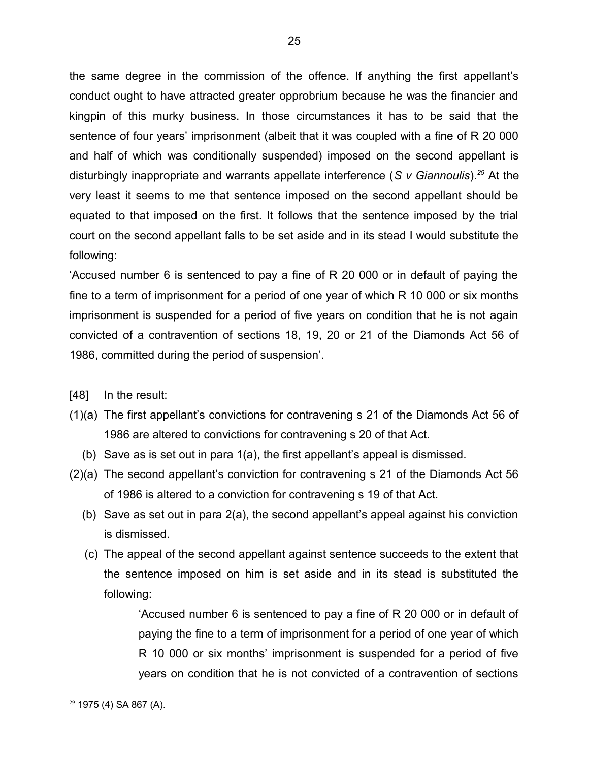the same degree in the commission of the offence. If anything the first appellant's conduct ought to have attracted greater opprobrium because he was the financier and kingpin of this murky business. In those circumstances it has to be said that the sentence of four years' imprisonment (albeit that it was coupled with a fine of R 20 000 and half of which was conditionally suspended) imposed on the second appellant is disturbingly inappropriate and warrants appellate interference (*S v Giannoulis*).*[29](#page-24-0)* At the very least it seems to me that sentence imposed on the second appellant should be equated to that imposed on the first. It follows that the sentence imposed by the trial court on the second appellant falls to be set aside and in its stead I would substitute the following:

'Accused number 6 is sentenced to pay a fine of R 20 000 or in default of paying the fine to a term of imprisonment for a period of one year of which R 10 000 or six months imprisonment is suspended for a period of five years on condition that he is not again convicted of a contravention of sections 18, 19, 20 or 21 of the Diamonds Act 56 of 1986, committed during the period of suspension'.

[48] In the result:

- (1)(a) The first appellant's convictions for contravening s 21 of the Diamonds Act 56 of 1986 are altered to convictions for contravening s 20 of that Act.
	- (b) Save as is set out in para 1(a), the first appellant's appeal is dismissed.
- (2)(a) The second appellant's conviction for contravening s 21 of the Diamonds Act 56 of 1986 is altered to a conviction for contravening s 19 of that Act.
	- (b) Save as set out in para 2(a), the second appellant's appeal against his conviction is dismissed.
	- (c) The appeal of the second appellant against sentence succeeds to the extent that the sentence imposed on him is set aside and in its stead is substituted the following:

'Accused number 6 is sentenced to pay a fine of R 20 000 or in default of paying the fine to a term of imprisonment for a period of one year of which R 10 000 or six months' imprisonment is suspended for a period of five years on condition that he is not convicted of a contravention of sections

<span id="page-24-0"></span><sup>29</sup> 1975 (4) SA 867 (A).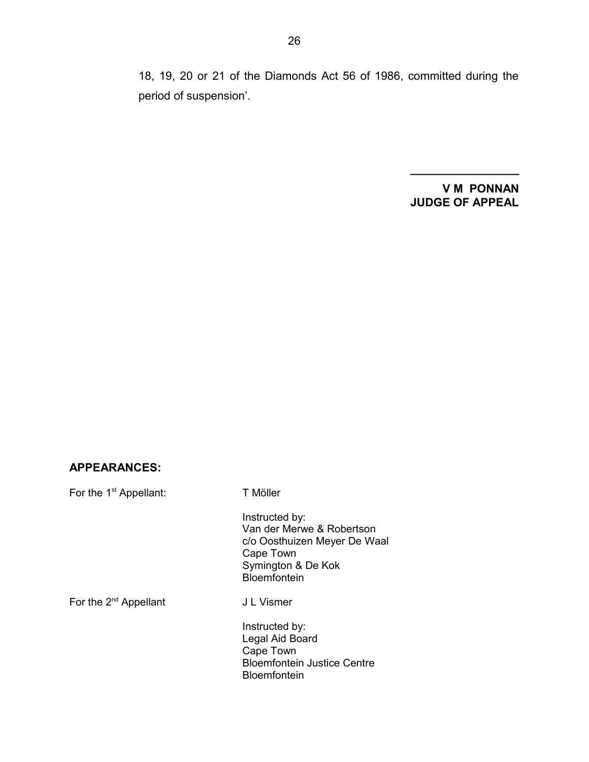18, 19, 20 or 21 of the Diamonds Act 56 of 1986, committed during the period of suspension'.

### **V M PONNAN JUDGE OF APPEAL**

**\_\_\_\_\_\_\_\_\_\_\_\_\_\_\_\_\_**

### **APPEARANCES:**

For the 1<sup>st</sup> Appellant: T Möller

Instructed by: Van der Merwe & Robertson c/o Oosthuizen Meyer De Waal Cape Town Symington & De Kok Bloemfontein

For the 2<sup>nd</sup> Appellant J L Vismer

Instructed by: Legal Aid Board Cape Town Bloemfontein Justice Centre Bloemfontein